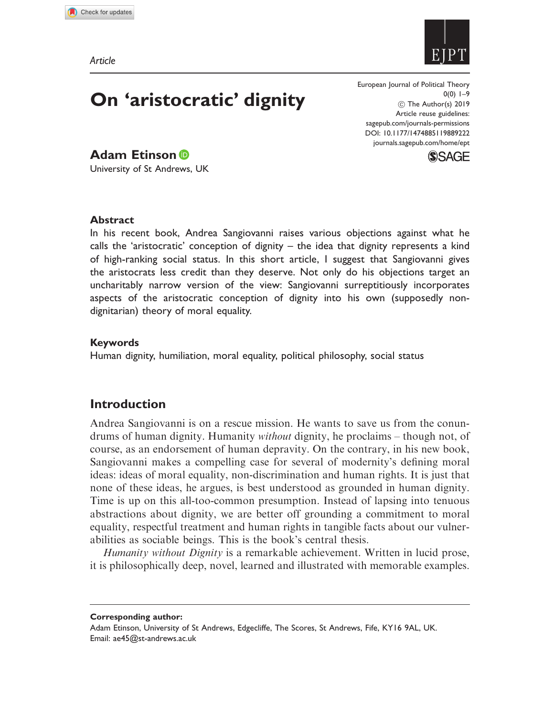

# On 'aristocratic' dignity

European Journal of Political Theory  $0(0)$  1–9  $\circledcirc$  The Author(s) 2019 Article reuse guidelines: sagepub.com/journals-permissions DOI: 10.1177/1474885119889222 journals.sagepub.com/home/ept



Adam Etinson **D** 

University of St Andrews, UK

### Abstract

In his recent book, Andrea Sangiovanni raises various objections against what he calls the 'aristocratic' conception of dignity – the idea that dignity represents a kind of high-ranking social status. In this short article, I suggest that Sangiovanni gives the aristocrats less credit than they deserve. Not only do his objections target an uncharitably narrow version of the view: Sangiovanni surreptitiously incorporates aspects of the aristocratic conception of dignity into his own (supposedly nondignitarian) theory of moral equality.

## Keywords

Human dignity, humiliation, moral equality, political philosophy, social status

## Introduction

Andrea Sangiovanni is on a rescue mission. He wants to save us from the conundrums of human dignity. Humanity without dignity, he proclaims – though not, of course, as an endorsement of human depravity. On the contrary, in his new book, Sangiovanni makes a compelling case for several of modernity's defining moral ideas: ideas of moral equality, non-discrimination and human rights. It is just that none of these ideas, he argues, is best understood as grounded in human dignity. Time is up on this all-too-common presumption. Instead of lapsing into tenuous abstractions about dignity, we are better off grounding a commitment to moral equality, respectful treatment and human rights in tangible facts about our vulnerabilities as sociable beings. This is the book's central thesis.

Humanity without Dignity is a remarkable achievement. Written in lucid prose, it is philosophically deep, novel, learned and illustrated with memorable examples.

Corresponding author:

Adam Etinson, University of St Andrews, Edgecliffe, The Scores, St Andrews, Fife, KY16 9AL, UK. Email: ae45@st-andrews.ac.uk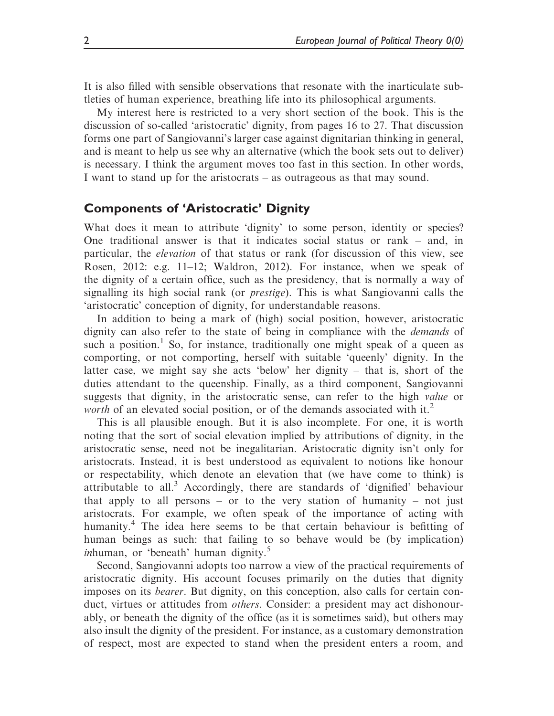It is also filled with sensible observations that resonate with the inarticulate subtleties of human experience, breathing life into its philosophical arguments.

My interest here is restricted to a very short section of the book. This is the discussion of so-called 'aristocratic' dignity, from pages 16 to 27. That discussion forms one part of Sangiovanni's larger case against dignitarian thinking in general, and is meant to help us see why an alternative (which the book sets out to deliver) is necessary. I think the argument moves too fast in this section. In other words, I want to stand up for the aristocrats – as outrageous as that may sound.

## Components of 'Aristocratic' Dignity

What does it mean to attribute 'dignity' to some person, identity or species? One traditional answer is that it indicates social status or rank – and, in particular, the elevation of that status or rank (for discussion of this view, see Rosen, 2012: e.g. 11–12; Waldron, 2012). For instance, when we speak of the dignity of a certain office, such as the presidency, that is normally a way of signalling its high social rank (or *prestige*). This is what Sangiovanni calls the 'aristocratic' conception of dignity, for understandable reasons.

In addition to being a mark of (high) social position, however, aristocratic dignity can also refer to the state of being in compliance with the demands of such a position.<sup>1</sup> So, for instance, traditionally one might speak of a queen as comporting, or not comporting, herself with suitable 'queenly' dignity. In the latter case, we might say she acts 'below' her dignity – that is, short of the duties attendant to the queenship. Finally, as a third component, Sangiovanni suggests that dignity, in the aristocratic sense, can refer to the high value or *worth* of an elevated social position, or of the demands associated with it.<sup>2</sup>

This is all plausible enough. But it is also incomplete. For one, it is worth noting that the sort of social elevation implied by attributions of dignity, in the aristocratic sense, need not be inegalitarian. Aristocratic dignity isn't only for aristocrats. Instead, it is best understood as equivalent to notions like honour or respectability, which denote an elevation that (we have come to think) is attributable to all.<sup>3</sup> Accordingly, there are standards of 'dignified' behaviour that apply to all persons – or to the very station of humanity – not just aristocrats. For example, we often speak of the importance of acting with humanity.<sup>4</sup> The idea here seems to be that certain behaviour is befitting of human beings as such: that failing to so behave would be (by implication) *inhuman*, or 'beneath' human dignity. $\frac{5}{5}$ 

Second, Sangiovanni adopts too narrow a view of the practical requirements of aristocratic dignity. His account focuses primarily on the duties that dignity imposes on its bearer. But dignity, on this conception, also calls for certain conduct, virtues or attitudes from others. Consider: a president may act dishonourably, or beneath the dignity of the office (as it is sometimes said), but others may also insult the dignity of the president. For instance, as a customary demonstration of respect, most are expected to stand when the president enters a room, and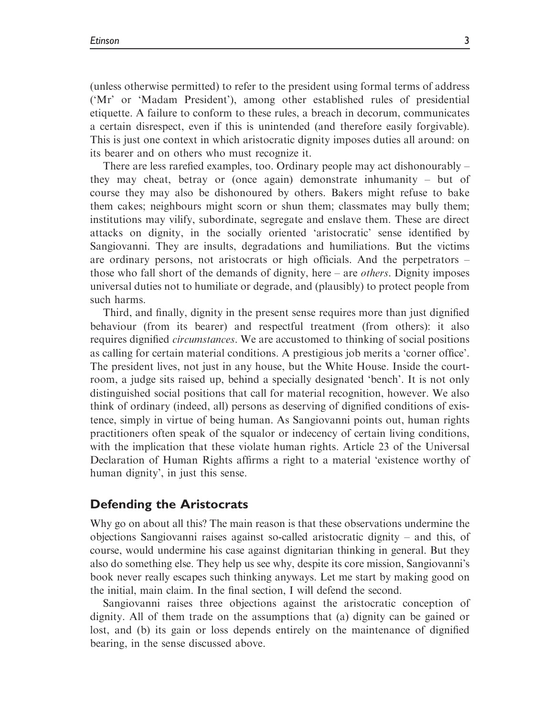(unless otherwise permitted) to refer to the president using formal terms of address ('Mr' or 'Madam President'), among other established rules of presidential etiquette. A failure to conform to these rules, a breach in decorum, communicates a certain disrespect, even if this is unintended (and therefore easily forgivable). This is just one context in which aristocratic dignity imposes duties all around: on its bearer and on others who must recognize it.

There are less rarefied examples, too. Ordinary people may act dishonourably – they may cheat, betray or (once again) demonstrate inhumanity – but of course they may also be dishonoured by others. Bakers might refuse to bake them cakes; neighbours might scorn or shun them; classmates may bully them; institutions may vilify, subordinate, segregate and enslave them. These are direct attacks on dignity, in the socially oriented 'aristocratic' sense identified by Sangiovanni. They are insults, degradations and humiliations. But the victims are ordinary persons, not aristocrats or high officials. And the perpetrators – those who fall short of the demands of dignity, here – are *others*. Dignity imposes universal duties not to humiliate or degrade, and (plausibly) to protect people from such harms.

Third, and finally, dignity in the present sense requires more than just dignified behaviour (from its bearer) and respectful treatment (from others): it also requires dignified *circumstances*. We are accustomed to thinking of social positions as calling for certain material conditions. A prestigious job merits a 'corner office'. The president lives, not just in any house, but the White House. Inside the courtroom, a judge sits raised up, behind a specially designated 'bench'. It is not only distinguished social positions that call for material recognition, however. We also think of ordinary (indeed, all) persons as deserving of dignified conditions of existence, simply in virtue of being human. As Sangiovanni points out, human rights practitioners often speak of the squalor or indecency of certain living conditions, with the implication that these violate human rights. Article 23 of the Universal Declaration of Human Rights affirms a right to a material 'existence worthy of human dignity', in just this sense.

## Defending the Aristocrats

Why go on about all this? The main reason is that these observations undermine the objections Sangiovanni raises against so-called aristocratic dignity – and this, of course, would undermine his case against dignitarian thinking in general. But they also do something else. They help us see why, despite its core mission, Sangiovanni's book never really escapes such thinking anyways. Let me start by making good on the initial, main claim. In the final section, I will defend the second.

Sangiovanni raises three objections against the aristocratic conception of dignity. All of them trade on the assumptions that (a) dignity can be gained or lost, and (b) its gain or loss depends entirely on the maintenance of dignified bearing, in the sense discussed above.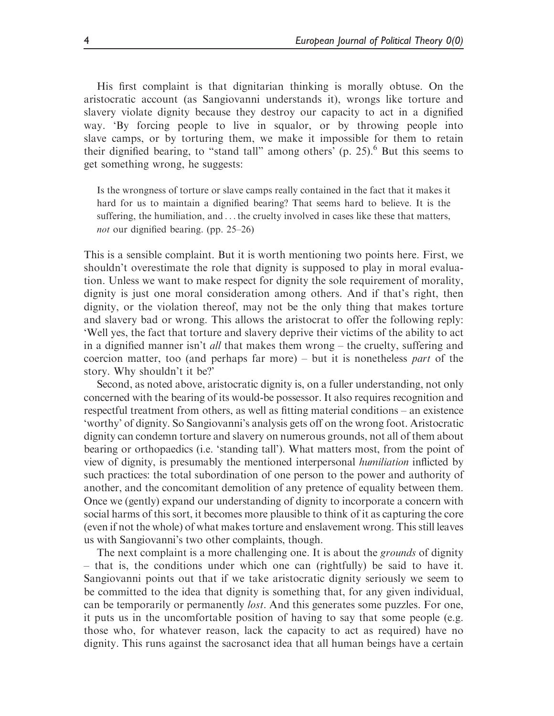His first complaint is that dignitarian thinking is morally obtuse. On the aristocratic account (as Sangiovanni understands it), wrongs like torture and slavery violate dignity because they destroy our capacity to act in a dignified way. 'By forcing people to live in squalor, or by throwing people into slave camps, or by torturing them, we make it impossible for them to retain their dignified bearing, to "stand tall" among others' (p. 25).<sup>6</sup> But this seems to get something wrong, he suggests:

Is the wrongness of torture or slave camps really contained in the fact that it makes it hard for us to maintain a dignified bearing? That seems hard to believe. It is the suffering, the humiliation, and ... the cruelty involved in cases like these that matters, not our dignified bearing. (pp. 25–26)

This is a sensible complaint. But it is worth mentioning two points here. First, we shouldn't overestimate the role that dignity is supposed to play in moral evaluation. Unless we want to make respect for dignity the sole requirement of morality, dignity is just one moral consideration among others. And if that's right, then dignity, or the violation thereof, may not be the only thing that makes torture and slavery bad or wrong. This allows the aristocrat to offer the following reply: 'Well yes, the fact that torture and slavery deprive their victims of the ability to act in a dignified manner isn't *all* that makes them wrong – the cruelty, suffering and coercion matter, too (and perhaps far more) – but it is nonetheless part of the story. Why shouldn't it be?'

Second, as noted above, aristocratic dignity is, on a fuller understanding, not only concerned with the bearing of its would-be possessor. It also requires recognition and respectful treatment from others, as well as fitting material conditions – an existence 'worthy' of dignity. So Sangiovanni's analysis gets off on the wrong foot. Aristocratic dignity can condemn torture and slavery on numerous grounds, not all of them about bearing or orthopaedics (i.e. 'standing tall'). What matters most, from the point of view of dignity, is presumably the mentioned interpersonal humiliation inflicted by such practices: the total subordination of one person to the power and authority of another, and the concomitant demolition of any pretence of equality between them. Once we (gently) expand our understanding of dignity to incorporate a concern with social harms of this sort, it becomes more plausible to think of it as capturing the core (even if not the whole) of what makes torture and enslavement wrong. This still leaves us with Sangiovanni's two other complaints, though.

The next complaint is a more challenging one. It is about the *grounds* of dignity – that is, the conditions under which one can (rightfully) be said to have it. Sangiovanni points out that if we take aristocratic dignity seriously we seem to be committed to the idea that dignity is something that, for any given individual, can be temporarily or permanently lost. And this generates some puzzles. For one, it puts us in the uncomfortable position of having to say that some people (e.g. those who, for whatever reason, lack the capacity to act as required) have no dignity. This runs against the sacrosanct idea that all human beings have a certain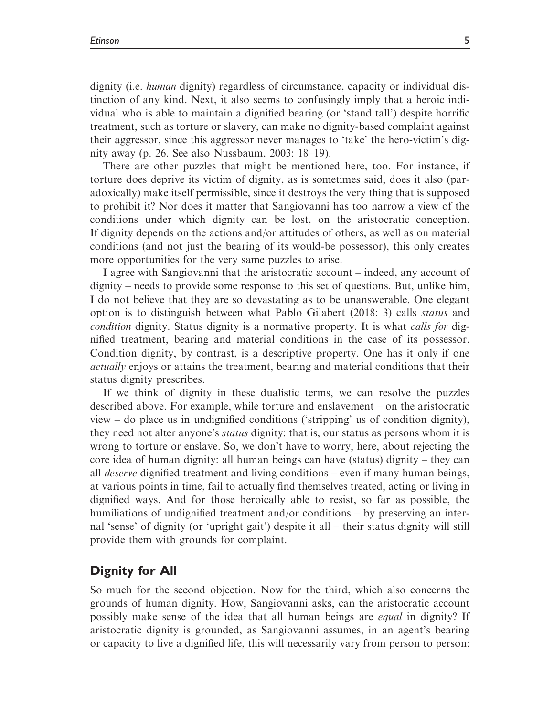dignity (i.e. *human* dignity) regardless of circumstance, capacity or individual distinction of any kind. Next, it also seems to confusingly imply that a heroic individual who is able to maintain a dignified bearing (or 'stand tall') despite horrific treatment, such as torture or slavery, can make no dignity-based complaint against their aggressor, since this aggressor never manages to 'take' the hero-victim's dignity away (p. 26. See also Nussbaum, 2003: 18–19).

There are other puzzles that might be mentioned here, too. For instance, if torture does deprive its victim of dignity, as is sometimes said, does it also (paradoxically) make itself permissible, since it destroys the very thing that is supposed to prohibit it? Nor does it matter that Sangiovanni has too narrow a view of the conditions under which dignity can be lost, on the aristocratic conception. If dignity depends on the actions and/or attitudes of others, as well as on material conditions (and not just the bearing of its would-be possessor), this only creates more opportunities for the very same puzzles to arise.

I agree with Sangiovanni that the aristocratic account – indeed, any account of dignity – needs to provide some response to this set of questions. But, unlike him, I do not believe that they are so devastating as to be unanswerable. One elegant option is to distinguish between what Pablo Gilabert (2018: 3) calls *status* and condition dignity. Status dignity is a normative property. It is what *calls for* dignified treatment, bearing and material conditions in the case of its possessor. Condition dignity, by contrast, is a descriptive property. One has it only if one actually enjoys or attains the treatment, bearing and material conditions that their status dignity prescribes.

If we think of dignity in these dualistic terms, we can resolve the puzzles described above. For example, while torture and enslavement – on the aristocratic view – do place us in undignified conditions ('stripping' us of condition dignity), they need not alter anyone's *status* dignity: that is, our status as persons whom it is wrong to torture or enslave. So, we don't have to worry, here, about rejecting the core idea of human dignity: all human beings can have (status) dignity – they can all *deserve* dignified treatment and living conditions – even if many human beings, at various points in time, fail to actually find themselves treated, acting or living in dignified ways. And for those heroically able to resist, so far as possible, the humiliations of undignified treatment and/or conditions – by preserving an internal 'sense' of dignity (or 'upright gait') despite it all – their status dignity will still provide them with grounds for complaint.

## Dignity for All

So much for the second objection. Now for the third, which also concerns the grounds of human dignity. How, Sangiovanni asks, can the aristocratic account possibly make sense of the idea that all human beings are *equal* in dignity? If aristocratic dignity is grounded, as Sangiovanni assumes, in an agent's bearing or capacity to live a dignified life, this will necessarily vary from person to person: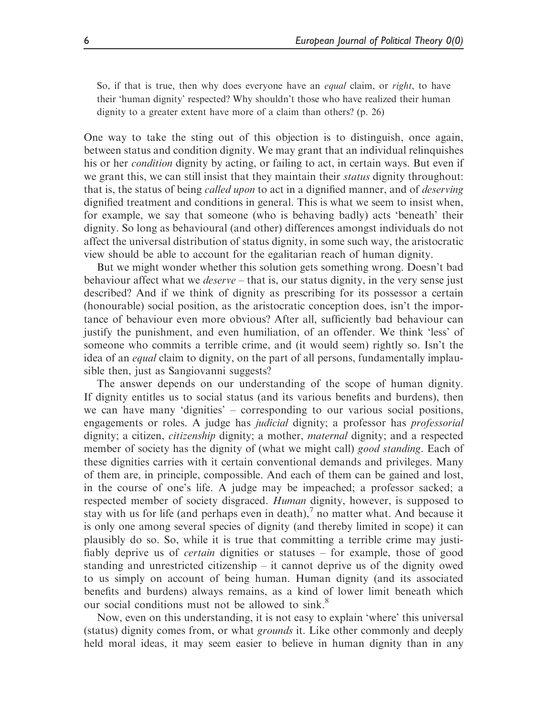So, if that is true, then why does everyone have an *equal* claim, or *right*, to have their 'human dignity' respected? Why shouldn't those who have realized their human dignity to a greater extent have more of a claim than others? (p. 26)

One way to take the sting out of this objection is to distinguish, once again, between status and condition dignity. We may grant that an individual relinquishes his or her *condition* dignity by acting, or failing to act, in certain ways. But even if we grant this, we can still insist that they maintain their *status* dignity throughout: that is, the status of being *called upon* to act in a dignified manner, and of *deserving* dignified treatment and conditions in general. This is what we seem to insist when, for example, we say that someone (who is behaving badly) acts 'beneath' their dignity. So long as behavioural (and other) differences amongst individuals do not affect the universal distribution of status dignity, in some such way, the aristocratic view should be able to account for the egalitarian reach of human dignity.

But we might wonder whether this solution gets something wrong. Doesn't bad behaviour affect what we *deserve* – that is, our status dignity, in the very sense just described? And if we think of dignity as prescribing for its possessor a certain (honourable) social position, as the aristocratic conception does, isn't the importance of behaviour even more obvious? After all, sufficiently bad behaviour can justify the punishment, and even humiliation, of an offender. We think 'less' of someone who commits a terrible crime, and (it would seem) rightly so. Isn't the idea of an *equal* claim to dignity, on the part of all persons, fundamentally implausible then, just as Sangiovanni suggests?

The answer depends on our understanding of the scope of human dignity. If dignity entitles us to social status (and its various benefits and burdens), then we can have many 'dignities' – corresponding to our various social positions, engagements or roles. A judge has judicial dignity; a professor has professorial dignity; a citizen, *citizenship* dignity; a mother, *maternal* dignity; and a respected member of society has the dignity of (what we might call) good standing. Each of these dignities carries with it certain conventional demands and privileges. Many of them are, in principle, compossible. And each of them can be gained and lost, in the course of one's life. A judge may be impeached; a professor sacked; a respected member of society disgraced. Human dignity, however, is supposed to stay with us for life (and perhaps even in death), $\frac{7}{1}$  no matter what. And because it is only one among several species of dignity (and thereby limited in scope) it can plausibly do so. So, while it is true that committing a terrible crime may justifiably deprive us of *certain* dignities or statuses – for example, those of good standing and unrestricted citizenship – it cannot deprive us of the dignity owed to us simply on account of being human. Human dignity (and its associated benefits and burdens) always remains, as a kind of lower limit beneath which our social conditions must not be allowed to sink.<sup>8</sup>

Now, even on this understanding, it is not easy to explain 'where' this universal (status) dignity comes from, or what grounds it. Like other commonly and deeply held moral ideas, it may seem easier to believe in human dignity than in any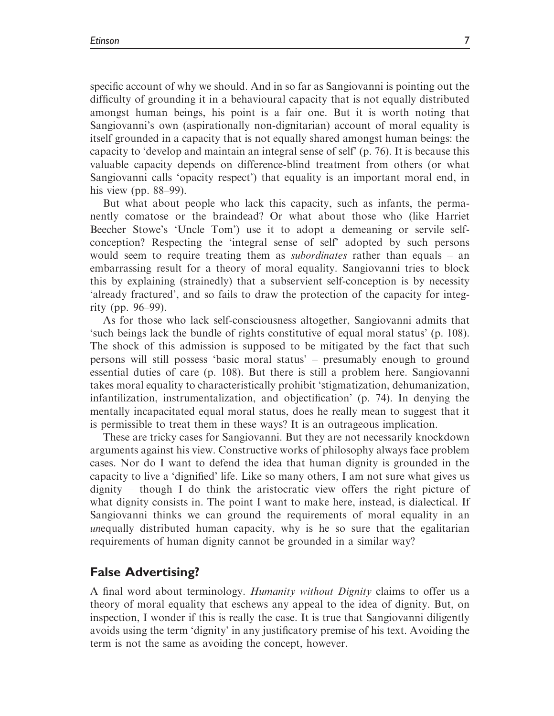specific account of why we should. And in so far as Sangiovanni is pointing out the difficulty of grounding it in a behavioural capacity that is not equally distributed amongst human beings, his point is a fair one. But it is worth noting that Sangiovanni's own (aspirationally non-dignitarian) account of moral equality is itself grounded in a capacity that is not equally shared amongst human beings: the capacity to 'develop and maintain an integral sense of self' (p. 76). It is because this valuable capacity depends on difference-blind treatment from others (or what Sangiovanni calls 'opacity respect') that equality is an important moral end, in his view (pp. 88–99).

But what about people who lack this capacity, such as infants, the permanently comatose or the braindead? Or what about those who (like Harriet Beecher Stowe's 'Uncle Tom') use it to adopt a demeaning or servile selfconception? Respecting the 'integral sense of self' adopted by such persons would seem to require treating them as *subordinates* rather than equals – an embarrassing result for a theory of moral equality. Sangiovanni tries to block this by explaining (strainedly) that a subservient self-conception is by necessity 'already fractured', and so fails to draw the protection of the capacity for integrity (pp. 96–99).

As for those who lack self-consciousness altogether, Sangiovanni admits that 'such beings lack the bundle of rights constitutive of equal moral status' (p. 108). The shock of this admission is supposed to be mitigated by the fact that such persons will still possess 'basic moral status' – presumably enough to ground essential duties of care (p. 108). But there is still a problem here. Sangiovanni takes moral equality to characteristically prohibit 'stigmatization, dehumanization, infantilization, instrumentalization, and objectification' (p. 74). In denying the mentally incapacitated equal moral status, does he really mean to suggest that it is permissible to treat them in these ways? It is an outrageous implication.

These are tricky cases for Sangiovanni. But they are not necessarily knockdown arguments against his view. Constructive works of philosophy always face problem cases. Nor do I want to defend the idea that human dignity is grounded in the capacity to live a 'dignified' life. Like so many others, I am not sure what gives us dignity – though I do think the aristocratic view offers the right picture of what dignity consists in. The point I want to make here, instead, is dialectical. If Sangiovanni thinks we can ground the requirements of moral equality in an unequally distributed human capacity, why is he so sure that the egalitarian requirements of human dignity cannot be grounded in a similar way?

#### False Advertising?

A final word about terminology. Humanity without Dignity claims to offer us a theory of moral equality that eschews any appeal to the idea of dignity. But, on inspection, I wonder if this is really the case. It is true that Sangiovanni diligently avoids using the term 'dignity' in any justificatory premise of his text. Avoiding the term is not the same as avoiding the concept, however.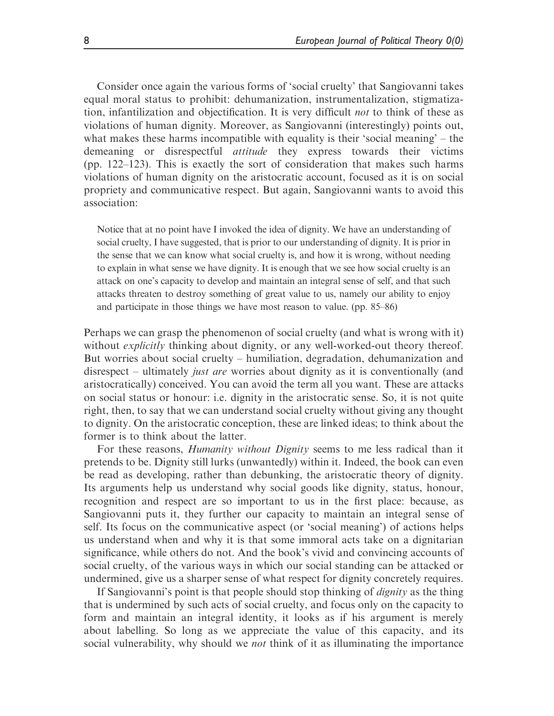Consider once again the various forms of 'social cruelty' that Sangiovanni takes equal moral status to prohibit: dehumanization, instrumentalization, stigmatization, infantilization and objectification. It is very difficult not to think of these as violations of human dignity. Moreover, as Sangiovanni (interestingly) points out, what makes these harms incompatible with equality is their 'social meaning' – the demeaning or disrespectful attitude they express towards their victims (pp. 122–123). This is exactly the sort of consideration that makes such harms violations of human dignity on the aristocratic account, focused as it is on social propriety and communicative respect. But again, Sangiovanni wants to avoid this association:

Notice that at no point have I invoked the idea of dignity. We have an understanding of social cruelty, I have suggested, that is prior to our understanding of dignity. It is prior in the sense that we can know what social cruelty is, and how it is wrong, without needing to explain in what sense we have dignity. It is enough that we see how social cruelty is an attack on one's capacity to develop and maintain an integral sense of self, and that such attacks threaten to destroy something of great value to us, namely our ability to enjoy and participate in those things we have most reason to value. (pp. 85–86)

Perhaps we can grasp the phenomenon of social cruelty (and what is wrong with it) without *explicitly* thinking about dignity, or any well-worked-out theory thereof. But worries about social cruelty – humiliation, degradation, dehumanization and disrespect – ultimately *just are* worries about dignity as it is conventionally (and aristocratically) conceived. You can avoid the term all you want. These are attacks on social status or honour: i.e. dignity in the aristocratic sense. So, it is not quite right, then, to say that we can understand social cruelty without giving any thought to dignity. On the aristocratic conception, these are linked ideas; to think about the former is to think about the latter.

For these reasons, *Humanity without Dignity* seems to me less radical than it pretends to be. Dignity still lurks (unwantedly) within it. Indeed, the book can even be read as developing, rather than debunking, the aristocratic theory of dignity. Its arguments help us understand why social goods like dignity, status, honour, recognition and respect are so important to us in the first place: because, as Sangiovanni puts it, they further our capacity to maintain an integral sense of self. Its focus on the communicative aspect (or 'social meaning') of actions helps us understand when and why it is that some immoral acts take on a dignitarian significance, while others do not. And the book's vivid and convincing accounts of social cruelty, of the various ways in which our social standing can be attacked or undermined, give us a sharper sense of what respect for dignity concretely requires.

If Sangiovanni's point is that people should stop thinking of *dignity* as the thing that is undermined by such acts of social cruelty, and focus only on the capacity to form and maintain an integral identity, it looks as if his argument is merely about labelling. So long as we appreciate the value of this capacity, and its social vulnerability, why should we not think of it as illuminating the importance